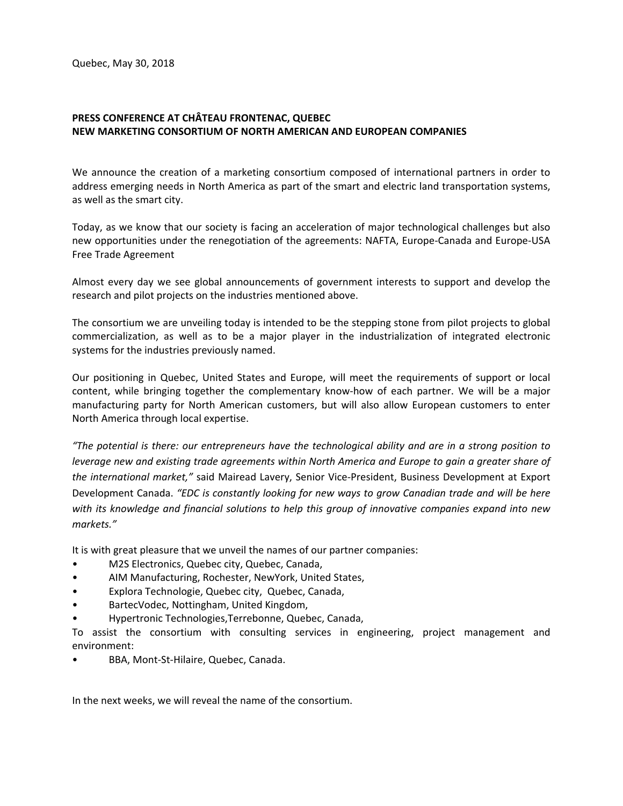# **PRESS CONFERENCE AT CHÂTEAU FRONTENAC, QUEBEC NEW MARKETING CONSORTIUM OF NORTH AMERICAN AND EUROPEAN COMPANIES**

We announce the creation of a marketing consortium composed of international partners in order to address emerging needs in North America as part of the smart and electric land transportation systems, as well as the smart city.

Today, as we know that our society is facing an acceleration of major technological challenges but also new opportunities under the renegotiation of the agreements: NAFTA, Europe‐Canada and Europe‐USA Free Trade Agreement

Almost every day we see global announcements of government interests to support and develop the research and pilot projects on the industries mentioned above.

The consortium we are unveiling today is intended to be the stepping stone from pilot projects to global commercialization, as well as to be a major player in the industrialization of integrated electronic systems for the industries previously named.

Our positioning in Quebec, United States and Europe, will meet the requirements of support or local content, while bringing together the complementary know‐how of each partner. We will be a major manufacturing party for North American customers, but will also allow European customers to enter North America through local expertise.

*"The potential is there: our entrepreneurs have the technological ability and are in a strong position to leverage new and existing trade agreements within North America and Europe to gain a greater share of the international market,"* said Mairead Lavery, Senior Vice‐President, Business Development at Export Development Canada. *"EDC is constantly looking for new ways to grow Canadian trade and will be here with its knowledge and financial solutions to help this group of innovative companies expand into new markets."* 

It is with great pleasure that we unveil the names of our partner companies:

- M2S Electronics, Quebec city, Quebec, Canada,
- AIM Manufacturing, Rochester, NewYork, United States,
- Explora Technologie, Quebec city, Quebec, Canada,
- BartecVodec, Nottingham, United Kingdom,
- Hypertronic Technologies,Terrebonne, Quebec, Canada,

To assist the consortium with consulting services in engineering, project management and environment:

• BBA, Mont‐St‐Hilaire, Quebec, Canada.

In the next weeks, we will reveal the name of the consortium.